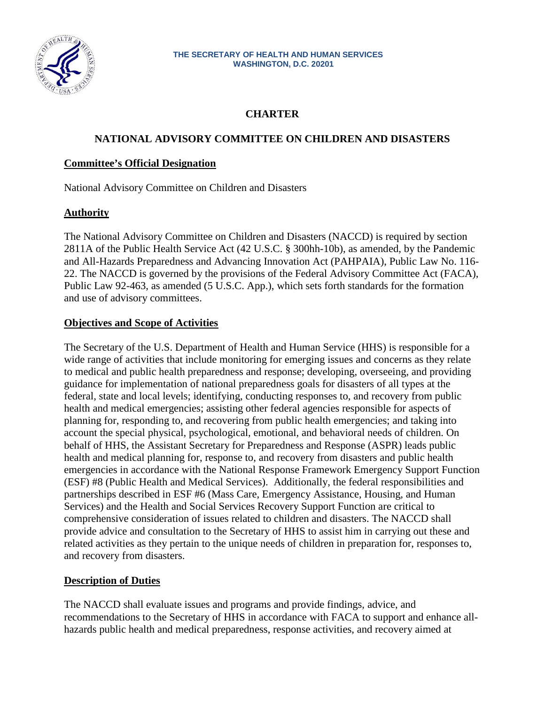

#### **THE SECRETARY OF HEALTH AND HUMAN SERVICES WASHINGTON, D.C. 20201**

# **CHARTER**

# **NATIONAL ADVISORY COMMITTEE ON CHILDREN AND DISASTERS**

### **Committee's Official Designation**

National Advisory Committee on Children and Disasters

# **Authority**

The National Advisory Committee on Children and Disasters (NACCD) is required by section 2811A of the Public Health Service Act (42 U.S.C. § 300hh-10b), as amended, by the Pandemic and All-Hazards Preparedness and Advancing Innovation Act (PAHPAIA), Public Law No. 116- 22. The NACCD is governed by the provisions of the Federal Advisory Committee Act (FACA), Public Law 92-463, as amended (5 U.S.C. App.), which sets forth standards for the formation and use of advisory committees.

### **Objectives and Scope of Activities**

The Secretary of the U.S. Department of Health and Human Service (HHS) is responsible for a wide range of activities that include monitoring for emerging issues and concerns as they relate to medical and public health preparedness and response; developing, overseeing, and providing guidance for implementation of national preparedness goals for disasters of all types at the federal, state and local levels; identifying, conducting responses to, and recovery from public health and medical emergencies; assisting other federal agencies responsible for aspects of planning for, responding to, and recovering from public health emergencies; and taking into account the special physical, psychological, emotional, and behavioral needs of children. On behalf of HHS, the Assistant Secretary for Preparedness and Response (ASPR) leads public health and medical planning for, response to, and recovery from disasters and public health emergencies in accordance with the National Response Framework Emergency Support Function (ESF) #8 (Public Health and Medical Services). Additionally, the federal responsibilities and partnerships described in ESF #6 (Mass Care, Emergency Assistance, Housing, and Human Services) and the Health and Social Services Recovery Support Function are critical to comprehensive consideration of issues related to children and disasters. The NACCD shall provide advice and consultation to the Secretary of HHS to assist him in carrying out these and related activities as they pertain to the unique needs of children in preparation for, responses to, and recovery from disasters.

# **Description of Duties**

The NACCD shall evaluate issues and programs and provide findings, advice, and recommendations to the Secretary of HHS in accordance with FACA to support and enhance allhazards public health and medical preparedness, response activities, and recovery aimed at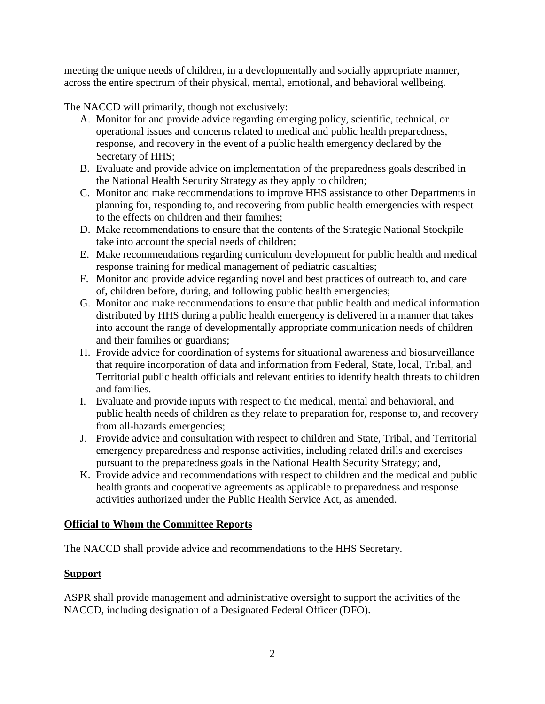meeting the unique needs of children, in a developmentally and socially appropriate manner, across the entire spectrum of their physical, mental, emotional, and behavioral wellbeing.

The NACCD will primarily, though not exclusively:

- A. Monitor for and provide advice regarding emerging policy, scientific, technical, or operational issues and concerns related to medical and public health preparedness, response, and recovery in the event of a public health emergency declared by the Secretary of HHS;
- B. Evaluate and provide advice on implementation of the preparedness goals described in the National Health Security Strategy as they apply to children;
- C. Monitor and make recommendations to improve HHS assistance to other Departments in planning for, responding to, and recovering from public health emergencies with respect to the effects on children and their families;
- D. Make recommendations to ensure that the contents of the Strategic National Stockpile take into account the special needs of children;
- E. Make recommendations regarding curriculum development for public health and medical response training for medical management of pediatric casualties;
- F. Monitor and provide advice regarding novel and best practices of outreach to, and care of, children before, during, and following public health emergencies;
- G. Monitor and make recommendations to ensure that public health and medical information distributed by HHS during a public health emergency is delivered in a manner that takes into account the range of developmentally appropriate communication needs of children and their families or guardians;
- H. Provide advice for coordination of systems for situational awareness and biosurveillance that require incorporation of data and information from Federal, State, local, Tribal, and Territorial public health officials and relevant entities to identify health threats to children and families.
- I. Evaluate and provide inputs with respect to the medical, mental and behavioral, and public health needs of children as they relate to preparation for, response to, and recovery from all-hazards emergencies;
- J. Provide advice and consultation with respect to children and State, Tribal, and Territorial emergency preparedness and response activities, including related drills and exercises pursuant to the preparedness goals in the National Health Security Strategy; and,
- K. Provide advice and recommendations with respect to children and the medical and public health grants and cooperative agreements as applicable to preparedness and response activities authorized under the Public Health Service Act, as amended.

# **Official to Whom the Committee Reports**

The NACCD shall provide advice and recommendations to the HHS Secretary.

# **Support**

ASPR shall provide management and administrative oversight to support the activities of the NACCD, including designation of a Designated Federal Officer (DFO).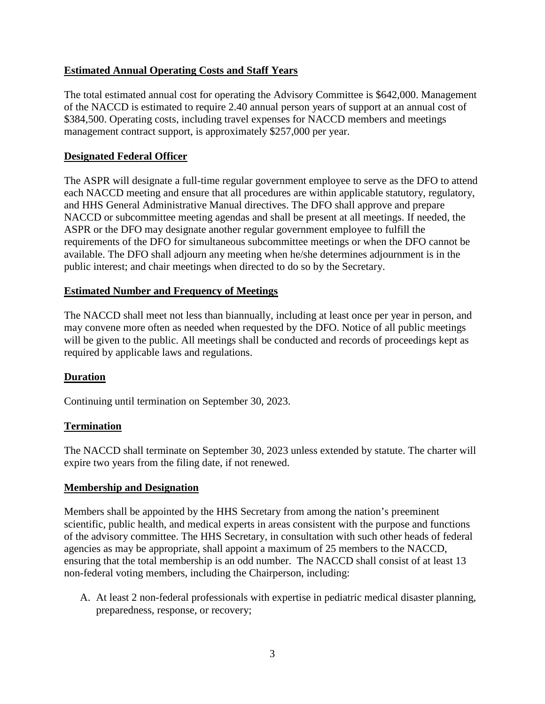# **Estimated Annual Operating Costs and Staff Years**

The total estimated annual cost for operating the Advisory Committee is \$642,000. Management of the NACCD is estimated to require 2.40 annual person years of support at an annual cost of \$384,500. Operating costs, including travel expenses for NACCD members and meetings management contract support, is approximately \$257,000 per year.

### **Designated Federal Officer**

The ASPR will designate a full-time regular government employee to serve as the DFO to attend each NACCD meeting and ensure that all procedures are within applicable statutory, regulatory, and HHS General Administrative Manual directives. The DFO shall approve and prepare NACCD or subcommittee meeting agendas and shall be present at all meetings. If needed, the ASPR or the DFO may designate another regular government employee to fulfill the requirements of the DFO for simultaneous subcommittee meetings or when the DFO cannot be available. The DFO shall adjourn any meeting when he/she determines adjournment is in the public interest; and chair meetings when directed to do so by the Secretary.

#### **Estimated Number and Frequency of Meetings**

The NACCD shall meet not less than biannually, including at least once per year in person, and may convene more often as needed when requested by the DFO. Notice of all public meetings will be given to the public. All meetings shall be conducted and records of proceedings kept as required by applicable laws and regulations.

#### **Duration**

Continuing until termination on September 30, 2023.

#### **Termination**

The NACCD shall terminate on September 30, 2023 unless extended by statute. The charter will expire two years from the filing date, if not renewed.

#### **Membership and Designation**

Members shall be appointed by the HHS Secretary from among the nation's preeminent scientific, public health, and medical experts in areas consistent with the purpose and functions of the advisory committee. The HHS Secretary, in consultation with such other heads of federal agencies as may be appropriate, shall appoint a maximum of 25 members to the NACCD, ensuring that the total membership is an odd number. The NACCD shall consist of at least 13 non-federal voting members, including the Chairperson, including:

A. At least 2 non-federal professionals with expertise in pediatric medical disaster planning, preparedness, response, or recovery;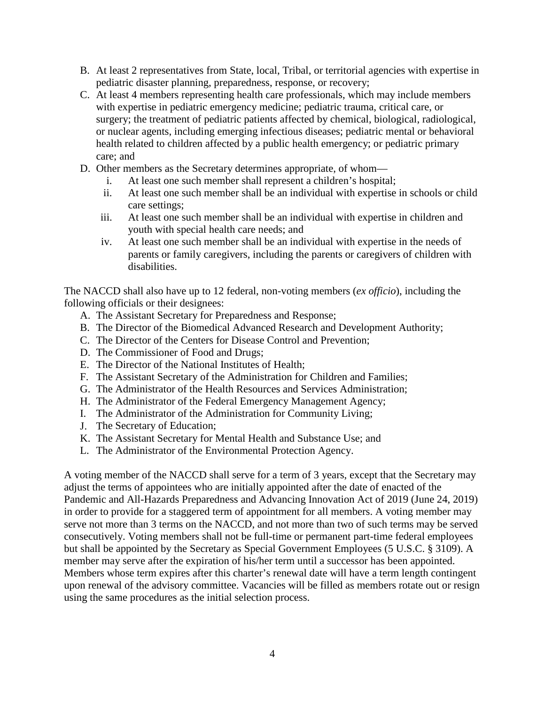- B. At least 2 representatives from State, local, Tribal, or territorial agencies with expertise in pediatric disaster planning, preparedness, response, or recovery;
- C. At least 4 members representing health care professionals, which may include members with expertise in pediatric emergency medicine; pediatric trauma, critical care, or surgery; the treatment of pediatric patients affected by chemical, biological, radiological, or nuclear agents, including emerging infectious diseases; pediatric mental or behavioral health related to children affected by a public health emergency; or pediatric primary care; and
- D. Other members as the Secretary determines appropriate, of whom
	- i. At least one such member shall represent a children's hospital;
	- ii. At least one such member shall be an individual with expertise in schools or child care settings;
	- iii. At least one such member shall be an individual with expertise in children and youth with special health care needs; and
	- iv. At least one such member shall be an individual with expertise in the needs of parents or family caregivers, including the parents or caregivers of children with disabilities.

The NACCD shall also have up to 12 federal, non-voting members (*ex officio*), including the following officials or their designees:

- A. The Assistant Secretary for Preparedness and Response;
- B. The Director of the Biomedical Advanced Research and Development Authority;
- C. The Director of the Centers for Disease Control and Prevention;
- D. The Commissioner of Food and Drugs;
- E. The Director of the National Institutes of Health;
- F. The Assistant Secretary of the Administration for Children and Families;
- G. The Administrator of the Health Resources and Services Administration;
- H. The Administrator of the Federal Emergency Management Agency;
- I. The Administrator of the Administration for Community Living;
- J. The Secretary of Education;
- K. The Assistant Secretary for Mental Health and Substance Use; and
- L. The Administrator of the Environmental Protection Agency.

A voting member of the NACCD shall serve for a term of 3 years, except that the Secretary may adjust the terms of appointees who are initially appointed after the date of enacted of the Pandemic and All-Hazards Preparedness and Advancing Innovation Act of 2019 (June 24, 2019) in order to provide for a staggered term of appointment for all members. A voting member may serve not more than 3 terms on the NACCD, and not more than two of such terms may be served consecutively. Voting members shall not be full-time or permanent part-time federal employees but shall be appointed by the Secretary as Special Government Employees (5 U.S.C. § 3109). A member may serve after the expiration of his/her term until a successor has been appointed. Members whose term expires after this charter's renewal date will have a term length contingent upon renewal of the advisory committee. Vacancies will be filled as members rotate out or resign using the same procedures as the initial selection process.